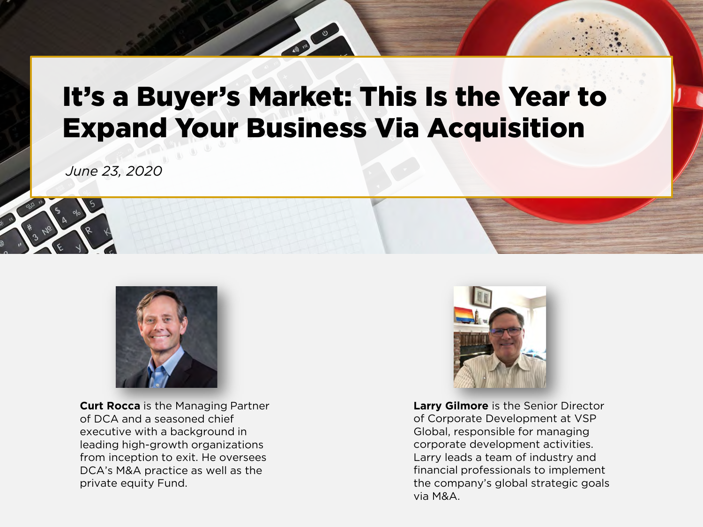# It's a Buyer's Market: This Is the Year to Expand Your Business Via Acquisition

*June 23, 2020*



**Curt Rocca** is the Managing Partner of DCA and a seasoned chief executive with a background in leading high-growth organizations from inception to exit. He oversees DCA's M&A practice as well as the private equity Fund.



**Larry Gilmore** is the Senior Director of Corporate Development at VSP Global, responsible for managing corporate development activities. Larry leads a team of industry and financial professionals to implement the company's global strategic goals via M&A.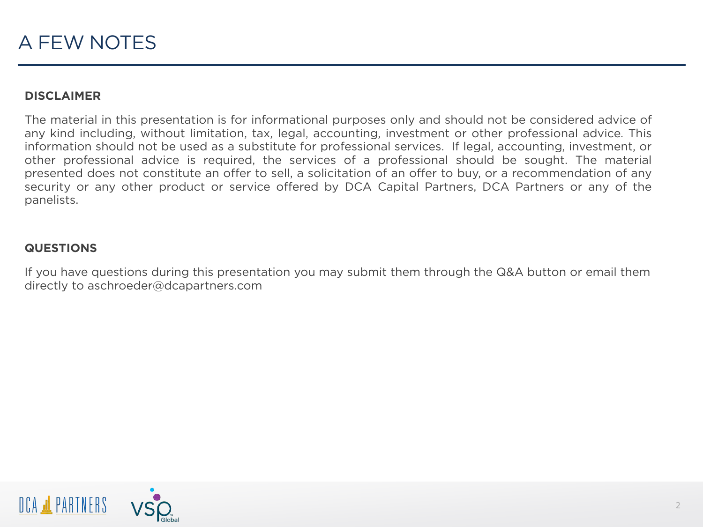### **DISCLAIMER**

The material in this presentation is for informational purposes only and should not be considered advice of any kind including, without limitation, tax, legal, accounting, investment or other professional advice. This information should not be used as a substitute for professional services. If legal, accounting, investment, or other professional advice is required, the services of a professional should be sought. The material presented does not constitute an offer to sell, a solicitation of an offer to buy, or a recommendation of any security or any other product or service offered by DCA Capital Partners, DCA Partners or any of the panelists.

### **QUESTIONS**

If you have questions during this presentation you may submit them through the Q&A button or email them directly to aschroeder@dcapartners.com

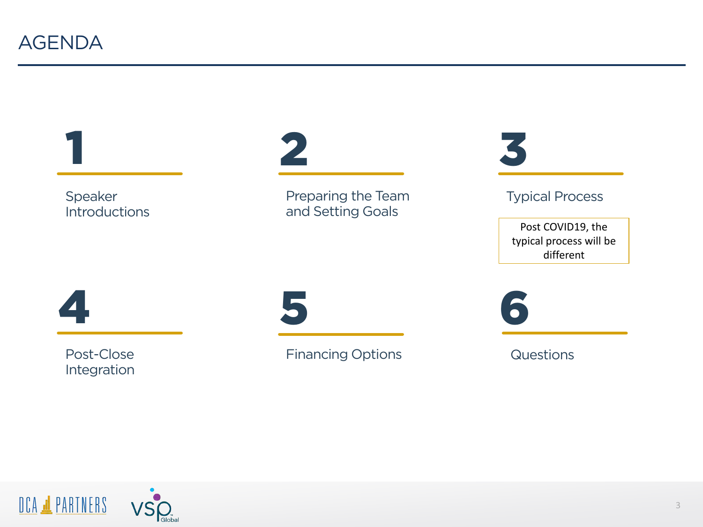





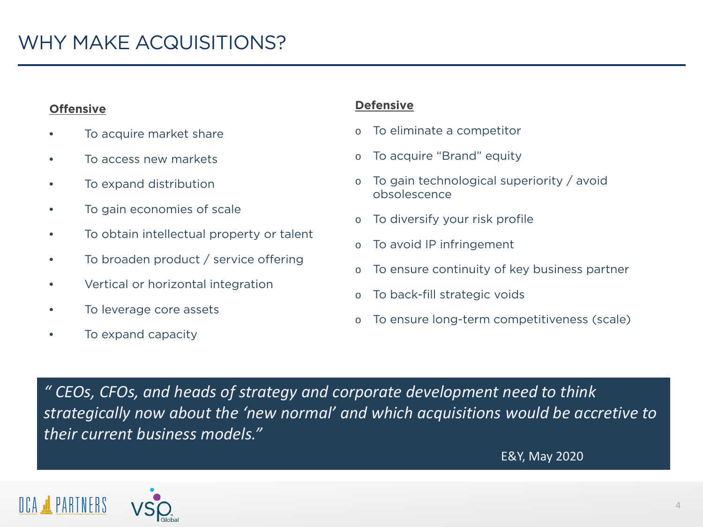## **Offensive**

- To acquire market share
- To access new markets
- To expand distribution
- To gain economies of scale
- To obtain intellectual property or talent
- To broaden product / service offering
- Vertical or horizontal integration
- To leverage core assets
- To expand capacity

### **Defensive**

- o To eliminate a competitor
- o To acquire "Brand" equity
- To gain technological superiority / avoid obsolescence
- To diversify your risk profile
- o To avoid IP infringement
- o To ensure continuity of key business partner
- o To back-fill strategic voids
- To ensure long-term competitiveness (scale)

*" CEOs, CFOs, and heads of strategy and corporate development need to think strategically now about the 'new normal' and which acquisitions would be accretive to their current business models."*

E&Y, May 2020

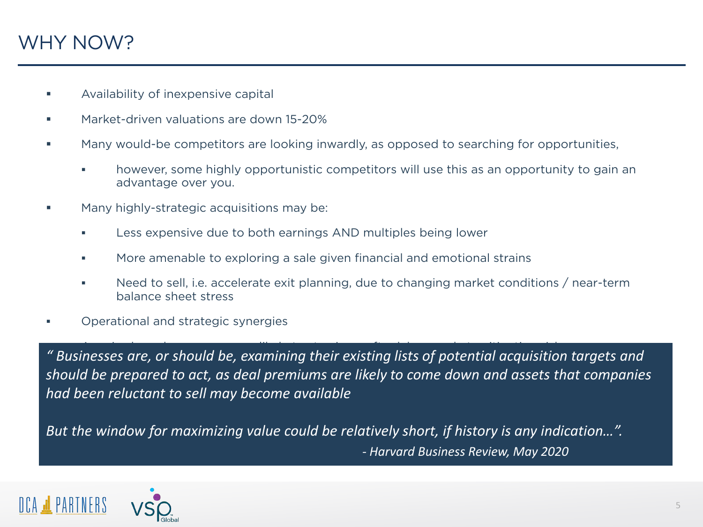# WHY NOW?

- Availability of inexpensive capital
- **Market-driven valuations are down 15-20%**
- Many would-be competitors are looking inwardly, as opposed to searching for opportunities,
	- however, some highly opportunistic competitors will use this as an opportunity to gain an advantage over you.
- Many highly-strategic acquisitions may be:
	- **Less expensive due to both earnings AND multiples being lower**
	- **More amenable to exploring a sale given financial and emotional strains**
	- Need to sell, i.e. accelerate exit planning, due to changing market conditions / near-term balance sheet stress
- Operational and strategic synergies

 Acquired employees are more likely to stay in a softer labor market, mitigating risk *" Businesses are, or should be, examining their existing lists of potential acquisition targets and should be prepared to act, as deal premiums are likely to come down and assets that companies had been reluctant to sell may become available*

*But the window for maximizing value could be relatively short, if history is any indication…". - Harvard Business Review, May 2020*

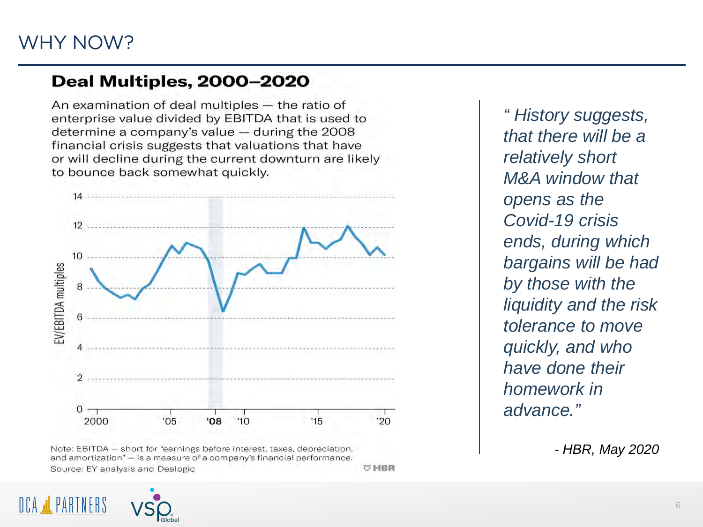# **Deal Multiples, 2000-2020**

An examination of deal multiples - the ratio of enterprise value divided by EBITDA that is used to determine a company's value - during the 2008 financial crisis suggests that valuations that have or will decline during the current downturn are likely to bounce back somewhat quickly.



Note: EBITDA - short for "earnings before interest, taxes, depreciation, and amortization" - is a measure of a company's financial performance. UHBR Source: EY analysis and Dealogic

*" History suggests, that there will be a relatively short M&A window that opens as the Covid-19 crisis ends, during which bargains will be had by those with the liquidity and the risk tolerance to move quickly, and who have done their homework in advance."*

*- HBR, May 2020*

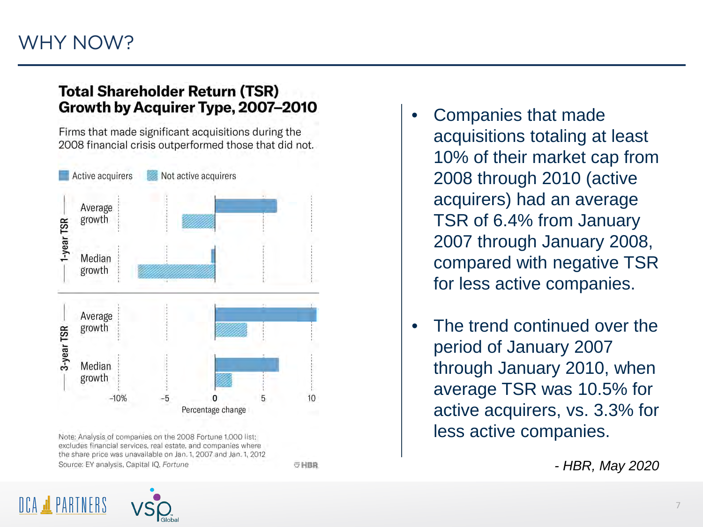# WHY NOW?

## **Total Shareholder Return (TSR)** Growth by Acquirer Type, 2007-2010

Firms that made significant acquisitions during the 2008 financial crisis outperformed those that did not.



Note: Analysis of companies on the 2008 Fortune 1,000 list: excludes financial services, real estate, and companies where the share price was unavailable on Jan. 1, 2007 and Jan. 1, 2012 Source: EY analysis, Capital IQ, Fortune

OHBR

• Companies that made acquisitions totaling at least 10% of their market cap from 2008 through 2010 (active acquirers) had an average TSR of 6.4% from January 2007 through January 2008, compared with negative TSR for less active companies.

The trend continued over the period of January 2007 through January 2010, when average TSR was 10.5% for active acquirers, vs. 3.3% for less active companies.

*- HBR, May 2020*

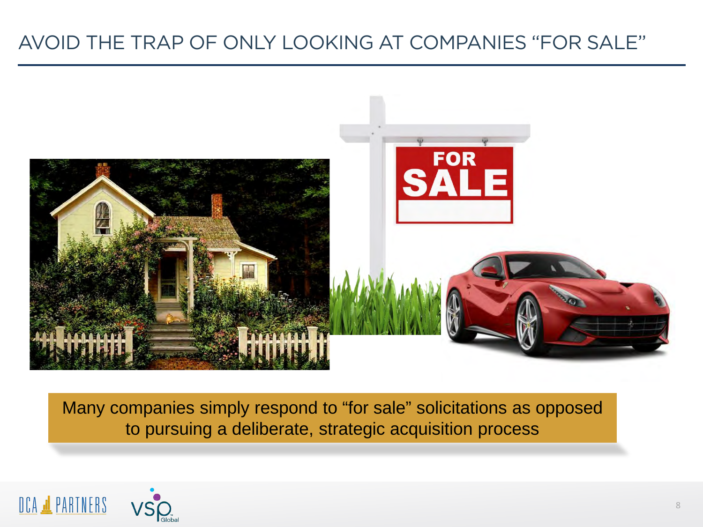# AVOID THE TRAP OF ONLY LOOKING AT COMPANIES "FOR SALE"



Many companies simply respond to "for sale" solicitations as opposed to pursuing a deliberate, strategic acquisition process



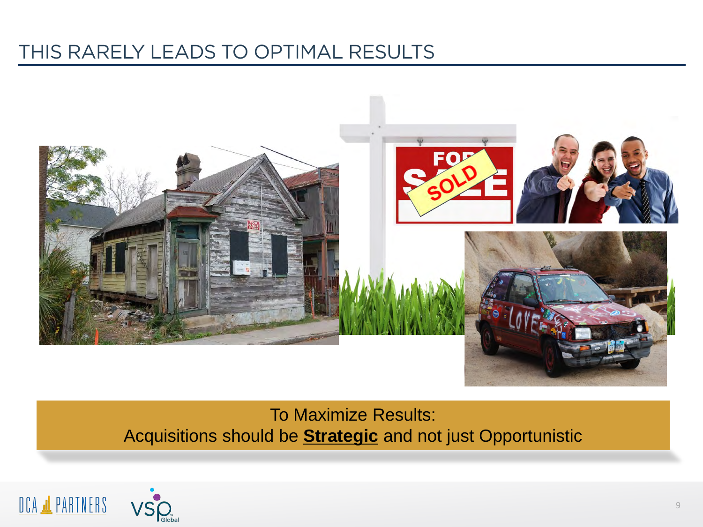# THIS RARELY LEADS TO OPTIMAL RESULTS



To Maximize Results: Acquisitions should be **Strategic** and not just Opportunistic



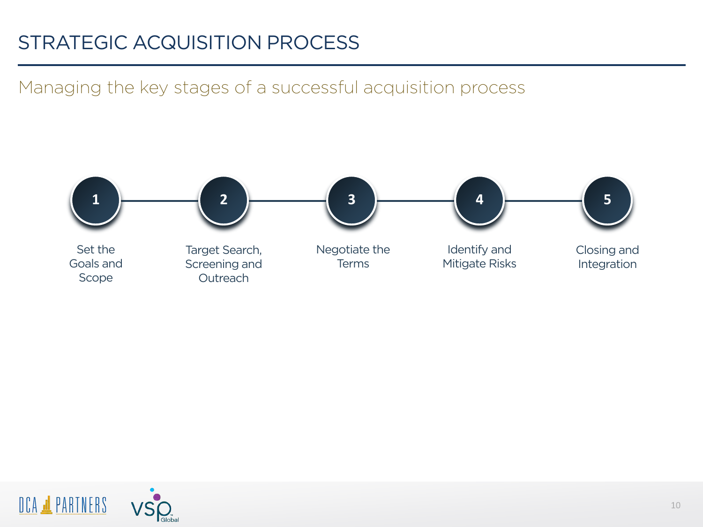# STRATEGIC ACQUISITION PROCESS

Managing the key stages of a successful acquisition process



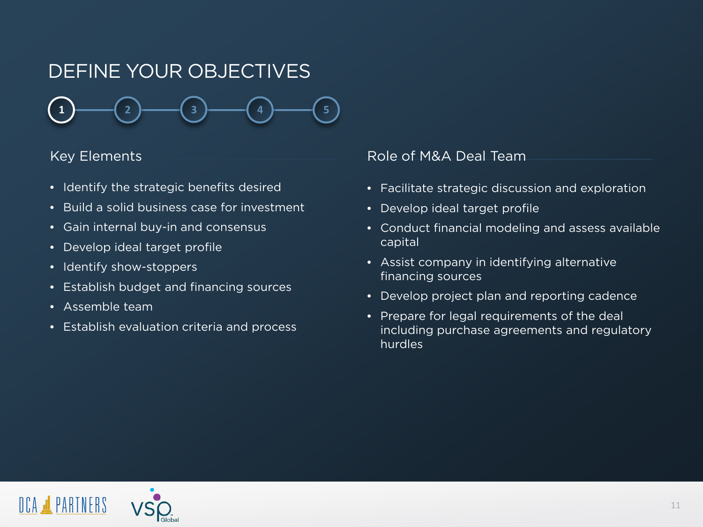# DEFINE YOUR OBJECTIVES



- Identify the strategic benefits desired
- Build a solid business case for investment
- Gain internal buy-in and consensus
- Develop ideal target profile
- Identify show-stoppers
- Establish budget and financing sources
- Assemble team
- Establish evaluation criteria and process

- Facilitate strategic discussion and exploration
- Develop ideal target profile
- Conduct financial modeling and assess available capital
- Assist company in identifying alternative financing sources
- Develop project plan and reporting cadence
- Prepare for legal requirements of the deal including purchase agreements and regulatory hurdles

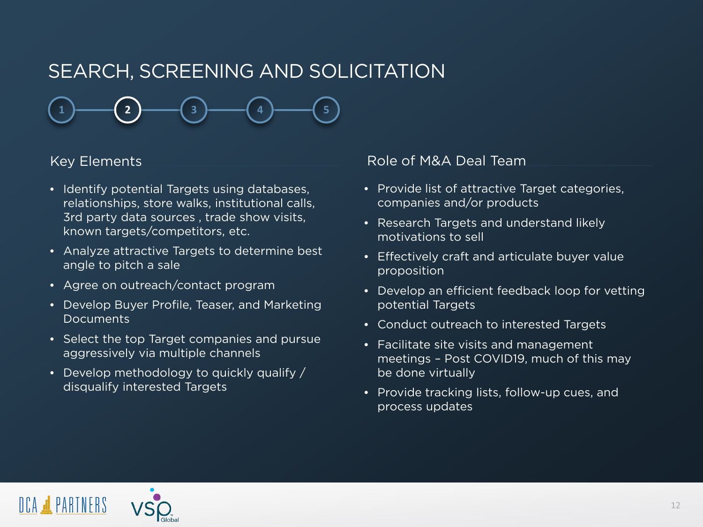# SEARCH, SCREENING AND SOLICITATION

**1**  $\rightarrow$  **1**  $\rightarrow$  **(2**  $\rightarrow$  **4**  $\rightarrow$  **4**  $\rightarrow$  **4**  $\rightarrow$  **5** 

- Identify potential Targets using databases, relationships, store walks, institutional calls, 3rd party data sources , trade show visits, known targets/competitors, etc.
- Analyze attractive Targets to determine best angle to pitch a sale
- Agree on outreach/contact program
- Develop Buyer Profile, Teaser, and Marketing **Documents**
- Select the top Target companies and pursue aggressively via multiple channels
- Develop methodology to quickly qualify / disqualify interested Targets

- Provide list of attractive Target categories, companies and/or products
- Research Targets and understand likely motivations to sell
- Effectively craft and articulate buyer value proposition
- Develop an efficient feedback loop for vetting potential Targets
- Conduct outreach to interested Targets
- Facilitate site visits and management meetings – Post COVID19, much of this may be done virtually
- Provide tracking lists, follow-up cues, and process updates

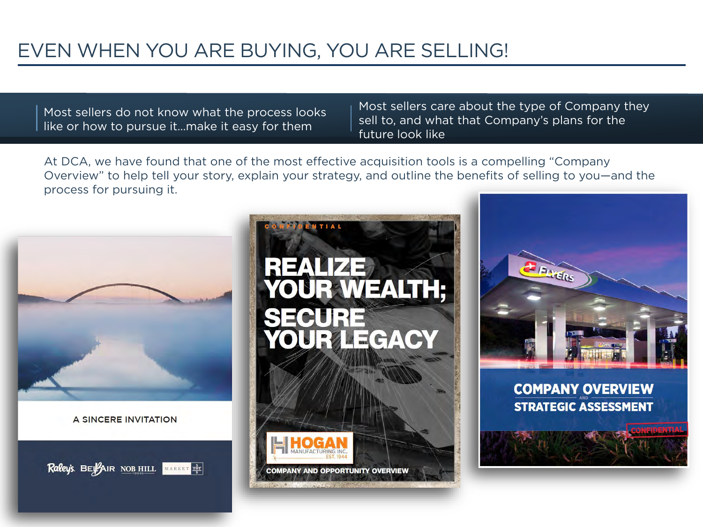# EVEN WHEN YOU ARE BUYING, YOU ARE SELLING!

Most sellers do not know what the process looks like or how to pursue it…make it easy for them

Most sellers care about the type of Company they sell to, and what that Company's plans for the future look like

At DCA, we have found that one of the most effective acquisition tools is a compelling "Company Overview" to help tell your story, explain your strategy, and outline the benefits of selling to you—and the process for pursuing it.



A SINCERE INVITATION

Raley's. BEYAIR NOB HILL MARKET SET



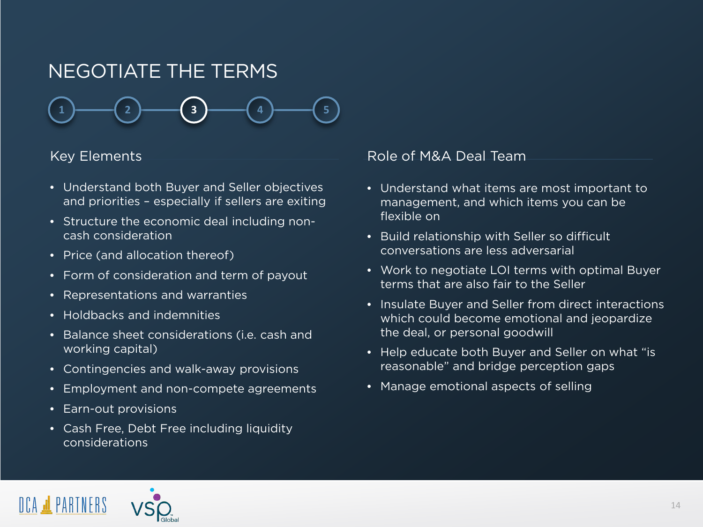# NEGOTIATE THE TERMS



- Understand both Buyer and Seller objectives and priorities – especially if sellers are exiting
- Structure the economic deal including noncash consideration
- Price (and allocation thereof)
- Form of consideration and term of payout
- Representations and warranties
- Holdbacks and indemnities
- Balance sheet considerations (i.e. cash and working capital)
- Contingencies and walk-away provisions
- Employment and non-compete agreements
- Earn-out provisions
- Cash Free, Debt Free including liquidity considerations

- Understand what items are most important to management, and which items you can be flexible on
- Build relationship with Seller so difficult conversations are less adversarial
- Work to negotiate LOI terms with optimal Buyer terms that are also fair to the Seller
- Insulate Buyer and Seller from direct interactions which could become emotional and jeopardize the deal, or personal goodwill
- Help educate both Buyer and Seller on what "is reasonable" and bridge perception gaps
- Manage emotional aspects of selling

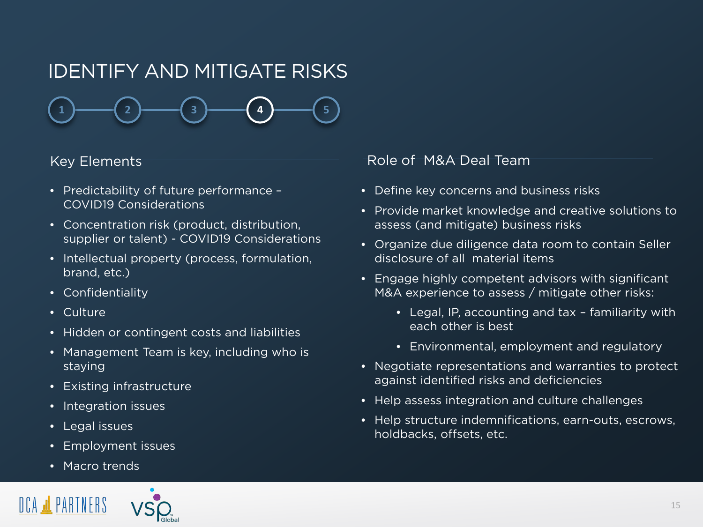# IDENTIFY AND MITIGATE RISKS

**1 2 3 4 5**

- Predictability of future performance COVID19 Considerations
- Concentration risk (product, distribution, supplier or talent) - COVID19 Considerations
- Intellectual property (process, formulation, brand, etc.)
- Confidentiality
- Culture
- Hidden or contingent costs and liabilities
- Management Team is key, including who is staying
- Existing infrastructure
- Integration issues
- Legal issues
- Employment issues
- Macro trends



- Define key concerns and business risks
- Provide market knowledge and creative solutions to assess (and mitigate) business risks
- Organize due diligence data room to contain Seller disclosure of all material items
- Engage highly competent advisors with significant M&A experience to assess / mitigate other risks:
	- Legal, IP, accounting and tax familiarity with each other is best
	- Environmental, employment and regulatory
- Negotiate representations and warranties to protect against identified risks and deficiencies
- Help assess integration and culture challenges
- Help structure indemnifications, earn-outs, escrows, holdbacks, offsets, etc.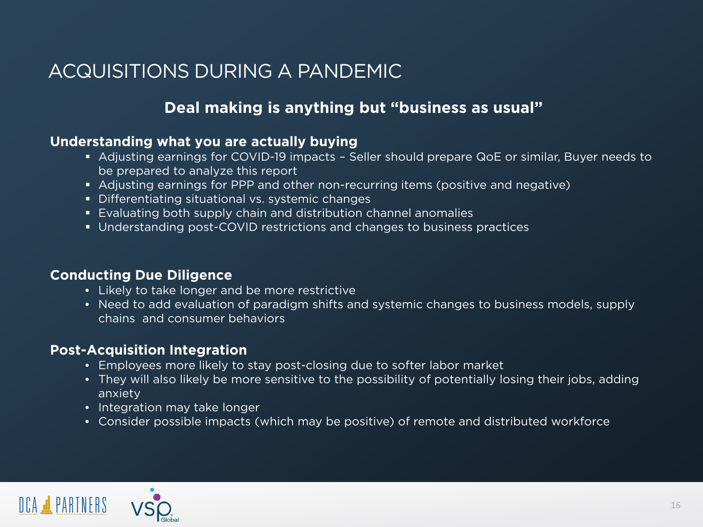# ACQUISITIONS DURING A PANDEMIC

# **Deal making is anything but "business as usual"**

## **Understanding what you are actually buying**

- Adjusting earnings for COVID-19 impacts Seller should prepare QoE or similar, Buyer needs to be prepared to analyze this report
- Adjusting earnings for PPP and other non-recurring items (positive and negative)
- Differentiating situational vs. systemic changes
- Evaluating both supply chain and distribution channel anomalies
- Understanding post-COVID restrictions and changes to business practices

## **Conducting Due Diligence**

- Likely to take longer and be more restrictive
- Need to add evaluation of paradigm shifts and systemic changes to business models, supply chains and consumer behaviors

## **Post-Acquisition Integration**

- Employees more likely to stay post-closing due to softer labor market
- They will also likely be more sensitive to the possibility of potentially losing their jobs, adding anxiety
- Integration may take longer
- Consider possible impacts (which may be positive) of remote and distributed workforce

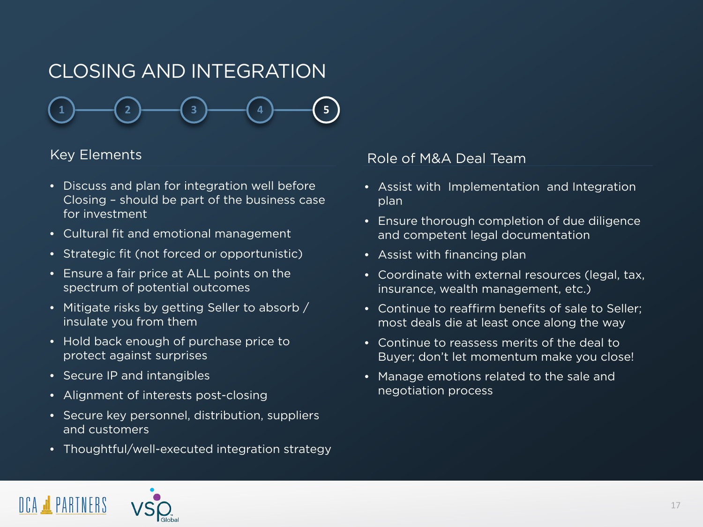# CLOSING AND INTEGRATION

**1**  $\rightarrow$  **1**  $\rightarrow$  **2**  $\rightarrow$  **1**  $\rightarrow$  **1**  $\rightarrow$  **1**  $\rightarrow$  **1**  $\rightarrow$  **1**  $\rightarrow$  **1**  $\rightarrow$  **1**  $\rightarrow$  **1**  $\rightarrow$  **1** 

- Discuss and plan for integration well before Closing – should be part of the business case for investment
- Cultural fit and emotional management
- Strategic fit (not forced or opportunistic)
- Ensure a fair price at ALL points on the spectrum of potential outcomes
- Mitigate risks by getting Seller to absorb / insulate you from them
- Hold back enough of purchase price to protect against surprises
- Secure IP and intangibles
- Alignment of interests post-closing
- Secure key personnel, distribution, suppliers and customers
- Thoughtful/well-executed integration strategy

- Assist with Implementation and Integration plan
- Ensure thorough completion of due diligence and competent legal documentation
- Assist with financing plan
- Coordinate with external resources (legal, tax, insurance, wealth management, etc.)
- Continue to reaffirm benefits of sale to Seller; most deals die at least once along the way
- Continue to reassess merits of the deal to Buyer; don't let momentum make you close!
- Manage emotions related to the sale and negotiation process

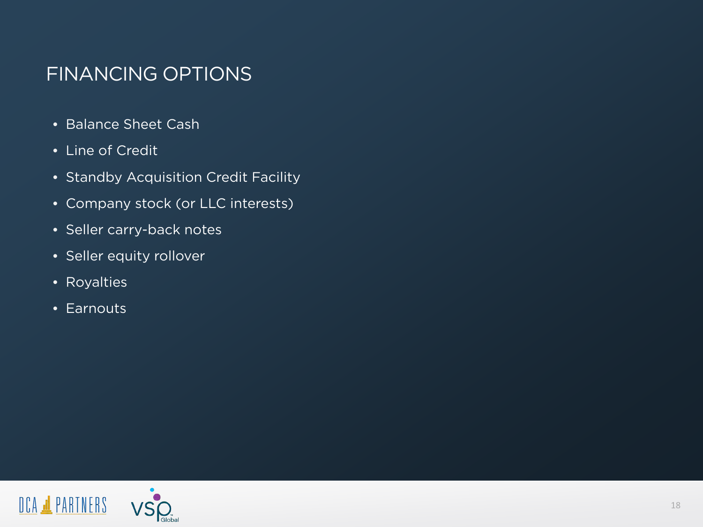# FINANCING OPTIONS

- Balance Sheet Cash
- Line of Credit
- Standby Acquisition Credit Facility
- Company stock (or LLC interests)
- Seller carry-back notes
- Seller equity rollover
- Royalties
- Earnouts

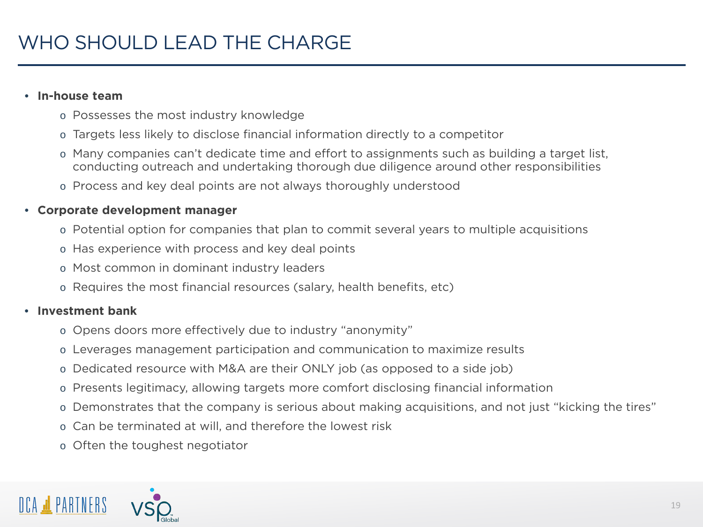### • **In-house team**

- o Possesses the most industry knowledge
- o Targets less likely to disclose financial information directly to a competitor
- o Many companies can't dedicate time and effort to assignments such as building a target list, conducting outreach and undertaking thorough due diligence around other responsibilities
- o Process and key deal points are not always thoroughly understood

## • **Corporate development manager**

- o Potential option for companies that plan to commit several years to multiple acquisitions
- o Has experience with process and key deal points
- o Most common in dominant industry leaders
- o Requires the most financial resources (salary, health benefits, etc)

## • **Investment bank**

- o Opens doors more effectively due to industry "anonymity"
- o Leverages management participation and communication to maximize results
- o Dedicated resource with M&A are their ONLY job (as opposed to a side job)
- o Presents legitimacy, allowing targets more comfort disclosing financial information
- o Demonstrates that the company is serious about making acquisitions, and not just "kicking the tires"
- o Can be terminated at will, and therefore the lowest risk
- o Often the toughest negotiator

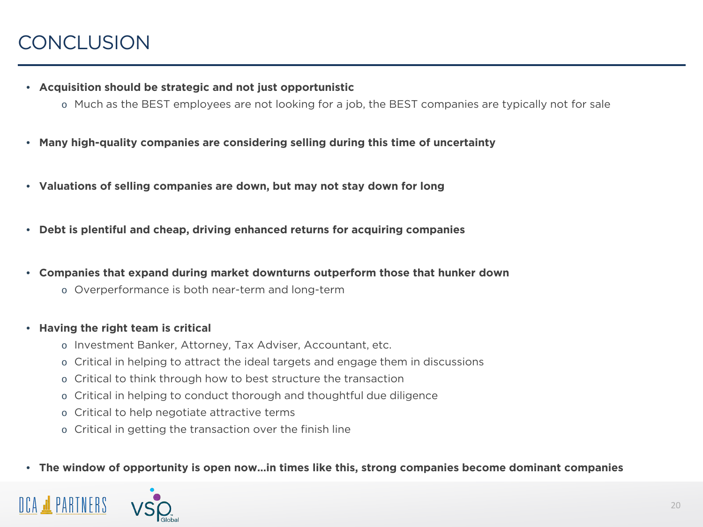- **Acquisition should be strategic and not just opportunistic**
	- o Much as the BEST employees are not looking for a job, the BEST companies are typically not for sale
- **Many high-quality companies are considering selling during this time of uncertainty**
- **Valuations of selling companies are down, but may not stay down for long**
- **Debt is plentiful and cheap, driving enhanced returns for acquiring companies**
- **Companies that expand during market downturns outperform those that hunker down**
	- o Overperformance is both near-term and long-term
- **Having the right team is critical**
	- o Investment Banker, Attorney, Tax Adviser, Accountant, etc.
	- o Critical in helping to attract the ideal targets and engage them in discussions
	- o Critical to think through how to best structure the transaction
	- o Critical in helping to conduct thorough and thoughtful due diligence
	- o Critical to help negotiate attractive terms
	- o Critical in getting the transaction over the finish line

### • **The window of opportunity is open now…in times like this, strong companies become dominant companies**